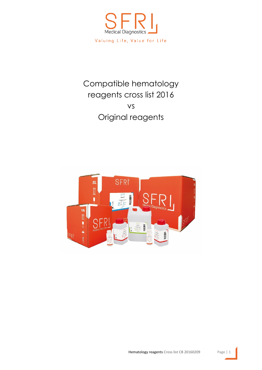

### Compatible hematology reagents cross list 2016 vs Original reagents

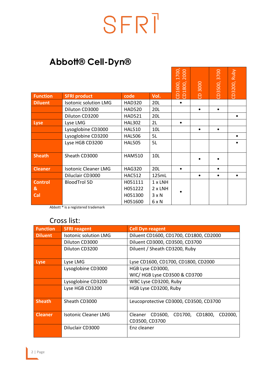### **Abbott® Cell-Dyn®**

|                 |                              |               | 8<br>2000<br>Ē<br>1800<br>600<br>$\overline{\phantom{0}}$ | 3000      | 3700<br>CD3500, | Ruby<br>CD3200, |           |
|-----------------|------------------------------|---------------|-----------------------------------------------------------|-----------|-----------------|-----------------|-----------|
| <b>Function</b> | <b>SFRI product</b>          | code          | Vol.                                                      | e e       | 8               |                 |           |
| <b>Diluent</b>  | <b>Isotonic solution LMG</b> | <b>HAD320</b> | 20L                                                       |           |                 |                 |           |
|                 | Diluton CD3000               | <b>HAD520</b> | 20L                                                       |           | $\bullet$       | $\bullet$       |           |
|                 | Diluton CD3200               | <b>HAD521</b> | 20L                                                       |           |                 |                 | $\bullet$ |
| <b>Lyse</b>     | Lyse LMG                     | <b>HAL302</b> | 2L                                                        |           |                 |                 |           |
|                 | Lysoglobine CD3000           | <b>HAL510</b> | 10L                                                       |           | $\bullet$       | $\bullet$       |           |
|                 | Lysoglobine CD3200           | <b>HAL506</b> | 5L                                                        |           |                 |                 |           |
|                 | Lyse HGB CD3200              | <b>HAL505</b> | 5L                                                        |           |                 |                 |           |
| <b>Sheath</b>   | Sheath CD3000                | <b>HAM510</b> | 10L                                                       |           |                 |                 |           |
| <b>Cleaner</b>  | <b>Isotonic Cleaner LMG</b>  | <b>HAG320</b> | 20L                                                       | $\bullet$ |                 |                 |           |
|                 | Diluclair CD3000             | <b>HAC512</b> | 125mL                                                     |           | $\bullet$       |                 |           |
| <b>Control</b>  | <b>BloodTrol 5D</b>          | H051111       | 1 x LNH                                                   |           |                 |                 |           |
| &               |                              | H051222       | $2 \times LNH$                                            |           |                 |                 |           |
| Cal             |                              | H051300       | $3 \times N$                                              |           |                 |                 |           |
|                 |                              | H051600       | $6 \times N$                                              |           |                 |                 |           |

Abbott ® is a registered trademark

| <b>Function</b> | <b>SFRI reagent</b>          | <b>Cell Dyn reagent</b>                    |  |  |  |  |
|-----------------|------------------------------|--------------------------------------------|--|--|--|--|
| <b>Diluent</b>  | <b>Isotonic solution LMG</b> | Diluent CD1600, CD1700, CD1800, CD2000     |  |  |  |  |
|                 | Diluton CD3000               | Diluent CD3000, CD3500, CD3700             |  |  |  |  |
|                 | Diluton CD3200               | Diluent / Sheath CD3200, Ruby              |  |  |  |  |
|                 |                              |                                            |  |  |  |  |
| <b>Lyse</b>     | Lyse LMG                     | Lyse CD1600, CD1700, CD1800, CD2000        |  |  |  |  |
|                 | Lysoglobine CD3000           | HGB Lyse CD3000,                           |  |  |  |  |
|                 |                              | WIC/HGB Lyse CD3500 & CD3700               |  |  |  |  |
|                 | Lysoglobine CD3200           | WBC Lyse CD3200, Ruby                      |  |  |  |  |
|                 | Lyse HGB CD3200              | HGB Lyse CD3200, Ruby                      |  |  |  |  |
|                 |                              |                                            |  |  |  |  |
| <b>Sheath</b>   | Sheath CD3000                | Leucoprotective CD3000, CD3500, CD3700     |  |  |  |  |
|                 |                              |                                            |  |  |  |  |
| <b>Cleaner</b>  | <b>Isotonic Cleaner LMG</b>  | Cleaner CD1600, CD1700, CD1800,<br>CD2000, |  |  |  |  |
|                 |                              | CD3500, CD3700                             |  |  |  |  |
|                 | Diluclair CD3000             | Enz cleaner                                |  |  |  |  |
|                 |                              |                                            |  |  |  |  |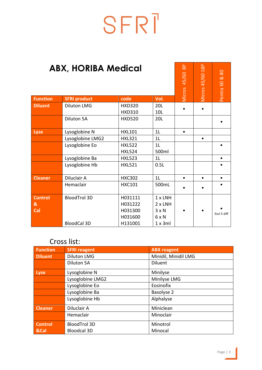| <b>ABX, HORIBA Medical</b> |                     |               |                | $80^{\circ}$<br>Viicros 45/60 | Micros 45/60 18P | $80\,$<br>Pentra 60 & |
|----------------------------|---------------------|---------------|----------------|-------------------------------|------------------|-----------------------|
| <b>Function</b>            | <b>SFRI product</b> | code          | Vol.           |                               |                  |                       |
| <b>Diluent</b>             | <b>Diluton LMG</b>  | <b>HXD320</b> | <b>20L</b>     |                               |                  |                       |
|                            |                     | <b>HXD310</b> | 10L            |                               |                  |                       |
|                            | Diluton 5A          | <b>HXD520</b> | 20L            |                               |                  |                       |
| Lyse                       | Lysoglobine N       | <b>HXL101</b> | 1 <sub>L</sub> | $\bullet$                     |                  |                       |
|                            | Lysoglobine LMG2    | <b>HXL321</b> | 1 <sub>L</sub> |                               | $\bullet$        |                       |
|                            | Lysoglobine Eo      | <b>HXL522</b> | 1 <sub>L</sub> |                               |                  |                       |
|                            |                     | <b>HXL524</b> | 500ml          |                               |                  |                       |
|                            | Lysoglobine Ba      | <b>HXL523</b> | 1 <sub>L</sub> |                               |                  |                       |
|                            | Lysoglobine Hb      | <b>HXL521</b> | 0.5L           |                               |                  |                       |
| <b>Cleaner</b>             | Diluclair A         | <b>HXC302</b> | 1 <sub>L</sub> | $\bullet$                     | $\bullet$        | $\bullet$             |
|                            | Hemaclair           | <b>HXC101</b> | 500mL          |                               |                  |                       |
| <b>Control</b>             | <b>BloodTrol 3D</b> | H031111       | $1 \times$ LNH |                               |                  |                       |
| &                          |                     | H031222       | $2 \times LNH$ |                               |                  |                       |
| Cal                        |                     | H031300       | $3 \times N$   |                               |                  | Excl 5 diff           |
|                            |                     | H031600       | $6 \times N$   |                               |                  |                       |
|                            | <b>BloodCal 3D</b>  | H131001       | $1x$ 3ml       |                               |                  |                       |

| <b>Function</b> | <b>SFRI reagent</b> | <b>ABX</b> reagent   |
|-----------------|---------------------|----------------------|
| <b>Diluent</b>  | <b>Diluton LMG</b>  | Minidil, Minidil LMG |
|                 | Diluton 5A          | <b>Diluent</b>       |
| Lyse            | Lysoglobine N       | Minilyse             |
|                 | Lysoglobine LMG2    | Minilyse LMG         |
|                 | Lysoglobine Eo      | Eosinofix            |
|                 | Lysoglobine Ba      | Basolyse 2           |
|                 | Lysoglobine Hb      | Alphalyse            |
| <b>Cleaner</b>  | Diluclair A         | Miniclean            |
|                 | Hemaclair           | Minoclair            |
| <b>Control</b>  | <b>BloodTrol 3D</b> | Minotrol             |
| &Cal            | <b>Bloodcal 3D</b>  | Minocal              |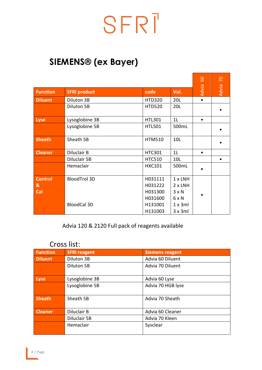### **SIEMENS® (ex Bayer)**

|                 |                     |               |                | 60           | $\mathcal{R}$ |
|-----------------|---------------------|---------------|----------------|--------------|---------------|
| <b>Function</b> | <b>SFRI product</b> | code          | Vol.           | <b>Advia</b> | Advia         |
| <b>Diluent</b>  | Diluton 3B          | <b>HTD320</b> | 20L            |              |               |
|                 | Diluton 5B          | <b>HTD520</b> | 20L            |              |               |
| Lyse            | Lysoglobine 3B      | <b>HTL301</b> | 1 <sub>L</sub> | $\bullet$    |               |
|                 | Lysoglobine 5B      | <b>HTL501</b> | 500mL          |              |               |
| <b>Sheath</b>   | Sheath 5B           | <b>HTM510</b> | 10L            |              |               |
| <b>Cleaner</b>  | Diluclair B         | <b>HTC301</b> | 1 <sub>L</sub> | $\bullet$    |               |
|                 | Diluclair 5B        | <b>HTC510</b> | 10L            |              |               |
|                 | Hemaclair           | <b>HXC101</b> | 500mL          |              |               |
| Control         | <b>BloodTrol 3D</b> | H031111       | $1 \times$ LNH |              |               |
| $\mathbf{g}$    |                     | H031222       | $2 \times LNH$ |              |               |
| Cal             |                     | H031300       | $3 \times N$   |              |               |
|                 |                     | H031600       | $6 \times N$   |              |               |
|                 | <b>BloodCal 3D</b>  | H131001       | $1x$ 3ml       |              |               |
|                 |                     | H131003       | 3x3ml          |              |               |

#### Advia 120 & 2120 Full pack of reagents available

| <b>Function</b> | <b>SFRI reagent</b> | <b>Siemens reagent</b> |
|-----------------|---------------------|------------------------|
| <b>Diluent</b>  | Diluton 3B          | Advia 60 Diluent       |
|                 | Diluton 5B          | Advia 70 Diluent       |
|                 |                     |                        |
| <b>Lyse</b>     | Lysoglobine 3B      | Advia 60 Lyse          |
|                 | Lysoglobine 5B      | Advia 70 HGB lyse      |
|                 |                     |                        |
| <b>Sheath</b>   | Sheath 5B           | Advia 70 Sheath        |
|                 |                     |                        |
| <b>Cleaner</b>  | Diluclair B         | Advia 60 Cleaner       |
|                 | Diluclair 5B        | Advia 70 Kleen         |
|                 | Hemaclair           | Sysclear               |
|                 |                     |                        |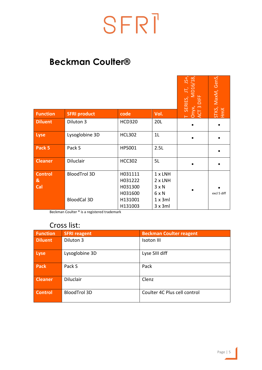### **Beckman Coulter®**

|                                       |                                           |                                                                |                                                                                    | (81)<br><b>NDI</b><br>SERIES, JT | <sup>-</sup> KS, MaxM, GenS, |
|---------------------------------------|-------------------------------------------|----------------------------------------------------------------|------------------------------------------------------------------------------------|----------------------------------|------------------------------|
| <b>Function</b>                       | <b>SFRI product</b>                       | code                                                           | Vol.                                                                               |                                  |                              |
| <b>Diluent</b>                        | Diluton 3                                 | <b>HCD320</b>                                                  | 20L                                                                                |                                  |                              |
| <b>Lyse</b>                           | Lysoglobine 3D                            | <b>HCL302</b>                                                  | 1 <sub>L</sub>                                                                     |                                  |                              |
| Pack 5                                | Pack S                                    | <b>HPS001</b>                                                  | 2.5L                                                                               |                                  |                              |
| <b>Cleaner</b>                        | Diluclair                                 | <b>HCC302</b>                                                  | 5L                                                                                 |                                  |                              |
| <b>Control</b><br>$\mathbf{g}$<br>Cal | <b>BloodTrol 3D</b><br><b>BloodCal 3D</b> | H031111<br>H031222<br>H031300<br>H031600<br>H131001<br>H131003 | $1x$ LNH<br>$2 \times LNH$<br>$3 \times N$<br>$6 \times N$<br>$1x$ 3ml<br>$3x$ 3ml |                                  | excl 5 diff                  |

Beckman Coulter ® is a registered trademark

| <b>Function</b> | <b>SFRI reagent</b> | <b>Beckman Coulter reagent</b> |
|-----------------|---------------------|--------------------------------|
| <b>Diluent</b>  | Diluton 3           | Isoton III                     |
| Lyse            | Lysoglobine 3D      | Lyse SIII diff                 |
| Pack            | Pack S              | Pack                           |
| <b>Cleaner</b>  | <b>Diluclair</b>    | Clenz                          |
| <b>Control</b>  | <b>BloodTrol 3D</b> | Coulter 4C Plus cell control   |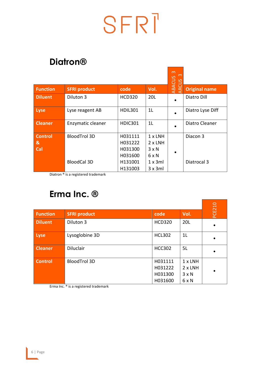#### **Diatron®**

|                 |                     |                |                 | ന<br>ന<br>ABACUS |                      |
|-----------------|---------------------|----------------|-----------------|------------------|----------------------|
| <b>Function</b> | <b>SFRI product</b> | code           | Vol.            | ARCUS            | <b>Original name</b> |
| <b>Diluent</b>  | Diluton 3           | <b>HCD320</b>  | 20L             |                  | Diatro Dill          |
| Lyse            | Lyse reagent AB     | <b>HDIL301</b> | 1L              |                  | Diatro Lyse Diff     |
| <b>Cleaner</b>  | Enzymatic cleaner   | <b>HDIC301</b> | 1 <sub>L</sub>  |                  | Diatro Cleaner       |
| <b>Control</b>  | <b>BloodTrol 3D</b> | H031111        | $1 \times$ LNH  |                  | Diacon 3             |
| $\mathbf{g}$    |                     | H031222        | $2 \times$ LNH  |                  |                      |
| Cal             |                     | H031300        | $3 \times N$    |                  |                      |
|                 |                     | H031600        | 6 x N           |                  |                      |
|                 | <b>BloodCal 3D</b>  | H131001        | $1 \times 3$ ml |                  | Diatrocal 3          |
|                 |                     | H131003        | 3x3ml           |                  |                      |

Diatron ® is a registered trademark

#### **Erma Inc. ®**

| <b>Function</b> | <b>SFRI product</b> | code               | Vol.                       | PCE210    |
|-----------------|---------------------|--------------------|----------------------------|-----------|
| <b>Diluent</b>  | Diluton 3           | <b>HCD320</b>      | 20L                        | $\bullet$ |
| <b>Lyse</b>     | Lysoglobine 3D      | <b>HCL302</b>      | 1 <sub>L</sub>             |           |
| <b>Cleaner</b>  | <b>Diluclair</b>    | <b>HCC302</b>      | 5L                         |           |
| <b>Control</b>  | <b>BloodTrol 3D</b> | H031111<br>H031222 | $1x$ LNH<br>$2 \times$ LNH |           |
|                 |                     | H031300            | $3 \times N$               |           |
|                 |                     | H031600            | $6 \times N$               |           |

Erma Inc. ® is a registered trademark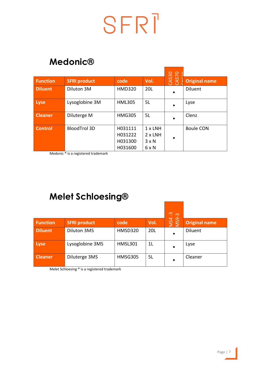### **Medonic®**

| Function       | <b>SFRI product</b> | code                                     | Vol.                                                             | 30 <sub>o</sub><br>$\overline{70}$<br>CAS<br>CAS | <b>Original name</b> |
|----------------|---------------------|------------------------------------------|------------------------------------------------------------------|--------------------------------------------------|----------------------|
| <b>Diluent</b> | Diluton 3M          | <b>HMD320</b>                            | 20L                                                              | $\bullet$                                        | Diluent              |
| Lyse           | Lysoglobine 3M      | <b>HML305</b>                            | 5L                                                               |                                                  | Lyse                 |
| <b>Cleaner</b> | Diluterge M         | <b>HMG305</b>                            | 5L                                                               | $\bullet$                                        | Clenz                |
| <b>Control</b> | <b>BloodTrol 3D</b> | H031111<br>H031222<br>H031300<br>H031600 | $1 \times$ LNH<br>$2 \times$ LNH<br>$3 \times N$<br>$6 \times N$ |                                                  | <b>Boule CON</b>     |

Medonic<sup>®</sup> is a registered trademark

### **Melet Schloesing®**

| <b>Function</b> | <b>SFRI product</b> | code           | Vol. | S <sub>9</sub><br>S <sub>4</sub> | <b>Original name</b> |
|-----------------|---------------------|----------------|------|----------------------------------|----------------------|
| <b>Diluent</b>  | Diluton 3MS         | HMSD320        | 20L  |                                  | Diluent              |
| Lyse            | Lysoglobine 3MS     | <b>HMSL301</b> | 1L   | $\bullet$                        | Lyse                 |
| <b>Cleaner</b>  | Diluterge 3MS       | <b>HMSG305</b> | 5L   | $\bullet$                        | Cleaner              |

Melet Schloesing ® is a registered trademark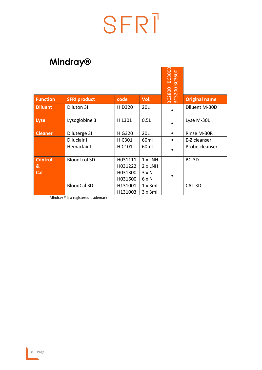### **Mindray®**

|                 |                     |               |                  | <b>BC300C</b><br>BC3600<br><b>C3200</b> |                      |
|-----------------|---------------------|---------------|------------------|-----------------------------------------|----------------------|
| <b>Function</b> | <b>SFRI product</b> | code          | Vol.             | BC2800<br>ന                             | <b>Original name</b> |
| <b>Diluent</b>  | Diluton 31          | <b>HID320</b> | 20L              |                                         | Diluent M-30D        |
| <b>Lyse</b>     | Lysoglobine 3I      | <b>HIL301</b> | 0.5L             |                                         | Lyse M-30L           |
| <b>Cleaner</b>  | Diluterge 31        | <b>HIG320</b> | <b>20L</b>       | $\bullet$                               | Rinse M-30R          |
|                 | Diluclair I         | <b>HIC301</b> | 60 <sub>ml</sub> | $\bullet$                               | E-Z cleanser         |
|                 | Hemaclair I         | <b>HIC101</b> | 60 <sub>ml</sub> |                                         | Probe cleanser       |
| <b>Control</b>  | <b>BloodTrol 3D</b> | H031111       | $1x$ LNH         |                                         | BC-3D                |
| &               |                     | H031222       | $2 \times LNH$   |                                         |                      |
| Cal             |                     | H031300       | $3 \times N$     |                                         |                      |
|                 |                     | H031600       | $6 \times N$     |                                         |                      |
|                 | <b>BloodCal 3D</b>  | H131001       | $1 \times 3$ ml  |                                         | CAL-3D               |
|                 |                     | H131003       | $3x$ 3ml         |                                         |                      |

Mindray ® is a registered trademark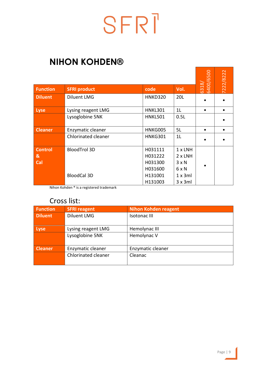#### **NIHON KOHDEN®**

|                 |                     |                |                 | 6500          | 7222/8222 |
|-----------------|---------------------|----------------|-----------------|---------------|-----------|
| <b>Function</b> | <b>SFRI product</b> | code           | Vol.            | 6400/<br>6318 |           |
| <b>Diluent</b>  | <b>Diluent LMG</b>  | <b>HNKD320</b> | 20L             |               |           |
| <b>Lyse</b>     | Lysing reagent LMG  | <b>HNKL301</b> | 1 <sub>L</sub>  | $\bullet$     |           |
|                 | Lysoglobine 5NK     | <b>HNKL501</b> | 0.5L            |               |           |
| <b>Cleaner</b>  | Enzymatic cleaner   | HNKG005        | 5L              |               |           |
|                 | Chlorinated cleaner | <b>HNKG301</b> | 1L              |               |           |
| <b>Control</b>  | <b>BloodTrol 3D</b> | H031111        | $1 \times$ LNH  |               |           |
| &               |                     | H031222        | $2 \times LNH$  |               |           |
| Cal             |                     | H031300        | $3 \times N$    |               |           |
|                 |                     | H031600        | $6 \times N$    |               |           |
|                 | <b>BloodCal 3D</b>  | H131001        | $1 \times 3$ ml |               |           |
|                 |                     | H131003        | $3x$ 3ml        |               |           |

Nihon Kohden ® is a registered trademark

| <b>Function</b> | <b>SFRI reagent</b> | <b>Nihon Kohden reagent</b> |
|-----------------|---------------------|-----------------------------|
| <b>Diluent</b>  | <b>Diluent LMG</b>  | <b>Isotonac III</b>         |
|                 |                     |                             |
| <b>Lyse</b>     | Lysing reagent LMG  | Hemolynac III               |
|                 | Lysoglobine 5NK     | Hemolynac V                 |
|                 |                     |                             |
| <b>Cleaner</b>  | Enzymatic cleaner   | Enzymatic cleaner           |
|                 | Chlorinated cleaner | Cleanac                     |
|                 |                     |                             |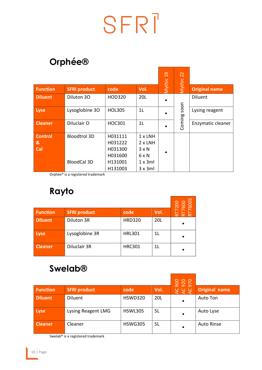### **Orphée®**

|                 |                     |               | $\frac{8}{2}$   | 22            |               |                      |
|-----------------|---------------------|---------------|-----------------|---------------|---------------|----------------------|
| <b>Function</b> | <b>SFRI product</b> | code          | Vol.            | <b>Mythic</b> | <b>Mythic</b> | <b>Original name</b> |
| <b>Diluent</b>  | Diluton 30          | <b>HOD320</b> | 20L             |               |               | <b>Diluent</b>       |
| <b>Lyse</b>     | Lysoglobine 30      | <b>HOL305</b> | 1 <sub>L</sub>  |               | soon          | Lysing reagent       |
| <b>Cleaner</b>  | Diluclair O         | HOC301        | 1L              |               | Coming        | Enzymatic cleaner    |
| <b>Control</b>  | <b>Bloodtrol 3D</b> | H031111       | $1 \times$ LNH  |               |               |                      |
| $\mathbf{g}$    |                     | H031222       | $2 \times$ LNH  |               |               |                      |
| Cal             |                     | H031300       | $3 \times N$    |               |               |                      |
|                 |                     | H031600       | $6 \times N$    |               |               |                      |
|                 | <b>BloodCal 3D</b>  | H131001       | $1 \times 3$ ml |               |               |                      |
|                 |                     | H131003       | $3x$ 3ml        |               |               |                      |

T

Orphée® is a registered trademark

### **Rayto**

|                 |                     |               |      | SO<br>◠<br>$\circ$<br>ဖ |
|-----------------|---------------------|---------------|------|-------------------------|
| <b>Function</b> | <b>SFRI product</b> | code          | Vol. |                         |
| <b>Diluent</b>  | Diluton 3R          | <b>HRD320</b> | 20L  |                         |
| <b>Lyse</b>     | Lysoglobine 3R      | <b>HRL301</b> | 1 L  |                         |
| <b>Cleaner</b>  | Diluclair 3R        | <b>HRC301</b> | 1 L  |                         |

#### **Swelab®**

|                 |                     |                |      | $\circ$ $\circ$<br>$\overline{N}$ $\overline{N}$<br>$\circ$ |                      |
|-----------------|---------------------|----------------|------|-------------------------------------------------------------|----------------------|
| <b>Function</b> | <b>SFRI product</b> | code           | Vol. | $\sigma$ $\sigma$<br>ന<br>ပေ<br>ব ব                         | <b>Original name</b> |
| <b>Diluent</b>  | Diluent             | <b>HSWD320</b> | 20L  | $\bullet$                                                   | Auto Ton             |
| <b>Lyse</b>     | Lysing Reagent LMG  | <b>HSWL305</b> | 5L   | $\bullet$                                                   | Auto Lyse            |
| <b>Cleaner</b>  | Cleaner             | <b>HSWG305</b> | 5L   | $\bullet$                                                   | <b>Auto Rinse</b>    |

Swelab® is a registered trademark